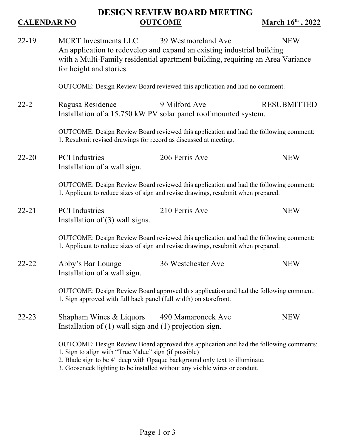## **DESIGN REVIEW BOARD MEETING CALENDAR NO OUTCOME March 16<sup>th</sup>, 2022**

| $22 - 19$ | <b>MCRT</b> Investments LLC                                                                                                                                                                                                                                                                                   | 39 Westmoreland Ave                                                                                                                                      | <b>NEW</b>         |  |
|-----------|---------------------------------------------------------------------------------------------------------------------------------------------------------------------------------------------------------------------------------------------------------------------------------------------------------------|----------------------------------------------------------------------------------------------------------------------------------------------------------|--------------------|--|
|           | for height and stories.                                                                                                                                                                                                                                                                                       | An application to redevelop and expand an existing industrial building<br>with a Multi-Family residential apartment building, requiring an Area Variance |                    |  |
|           | OUTCOME: Design Review Board reviewed this application and had no comment.                                                                                                                                                                                                                                    |                                                                                                                                                          |                    |  |
| $22 - 2$  | Ragusa Residence                                                                                                                                                                                                                                                                                              | 9 Milford Ave<br>Installation of a 15.750 kW PV solar panel roof mounted system.                                                                         | <b>RESUBMITTED</b> |  |
|           | OUTCOME: Design Review Board reviewed this application and had the following comment:<br>1. Resubmit revised drawings for record as discussed at meeting.                                                                                                                                                     |                                                                                                                                                          |                    |  |
| $22 - 20$ | <b>PCI</b> Industries<br>Installation of a wall sign.                                                                                                                                                                                                                                                         | 206 Ferris Ave                                                                                                                                           | <b>NEW</b>         |  |
|           | OUTCOME: Design Review Board reviewed this application and had the following comment:<br>1. Applicant to reduce sizes of sign and revise drawings, resubmit when prepared.                                                                                                                                    |                                                                                                                                                          |                    |  |
| $22 - 21$ | <b>PCI</b> Industries<br>Installation of $(3)$ wall signs.                                                                                                                                                                                                                                                    | 210 Ferris Ave                                                                                                                                           | <b>NEW</b>         |  |
|           | OUTCOME: Design Review Board reviewed this application and had the following comment:<br>1. Applicant to reduce sizes of sign and revise drawings, resubmit when prepared.                                                                                                                                    |                                                                                                                                                          |                    |  |
| $22 - 22$ | Abby's Bar Lounge<br>Installation of a wall sign.                                                                                                                                                                                                                                                             | 36 Westchester Ave                                                                                                                                       | <b>NEW</b>         |  |
|           | OUTCOME: Design Review Board approved this application and had the following comment:<br>1. Sign approved with full back panel (full width) on storefront.                                                                                                                                                    |                                                                                                                                                          |                    |  |
| $22 - 23$ | Shapham Wines & Liquors<br>Installation of $(1)$ wall sign and $(1)$ projection sign.                                                                                                                                                                                                                         | 490 Mamaroneck Ave                                                                                                                                       | <b>NEW</b>         |  |
|           | OUTCOME: Design Review Board approved this application and had the following comments:<br>1. Sign to align with "True Value" sign (if possible)<br>2. Blade sign to be 4" deep with Opaque background only text to illuminate.<br>3. Gooseneck lighting to be installed without any visible wires or conduit. |                                                                                                                                                          |                    |  |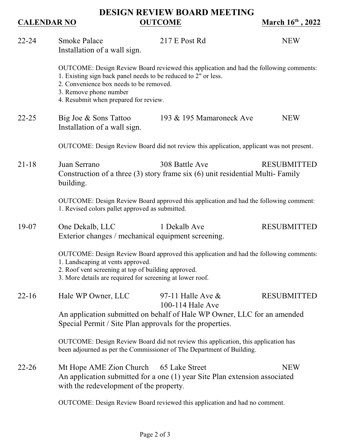### **DESIGN REVIEW BOARD MEETING CALENDAR NO OUTCOME March 16<sup>th</sup>, 2022**

| $22 - 24$ | <b>Smoke Palace</b><br>Installation of a wall sign.                                                                                                                                                                                                                    | 217 E Post Rd                                                              | <b>NEW</b>         |  |  |
|-----------|------------------------------------------------------------------------------------------------------------------------------------------------------------------------------------------------------------------------------------------------------------------------|----------------------------------------------------------------------------|--------------------|--|--|
|           | OUTCOME: Design Review Board reviewed this application and had the following comments:<br>1. Existing sign back panel needs to be reduced to 2" or less.<br>2. Convenience box needs to be removed.<br>3. Remove phone number<br>4. Resubmit when prepared for review. |                                                                            |                    |  |  |
| $22 - 25$ | Big Joe & Sons Tattoo<br>Installation of a wall sign.                                                                                                                                                                                                                  | 193 & 195 Mamaroneck Ave                                                   | <b>NEW</b>         |  |  |
|           | OUTCOME: Design Review Board did not review this application, applicant was not present.                                                                                                                                                                               |                                                                            |                    |  |  |
| $21 - 18$ | Juan Serrano<br>308 Battle Ave<br><b>RESUBMITTED</b><br>Construction of a three (3) story frame six (6) unit residential Multi-Family<br>building.                                                                                                                     |                                                                            |                    |  |  |
|           | OUTCOME: Design Review Board approved this application and had the following comment:<br>1. Revised colors pallet approved as submitted.                                                                                                                               |                                                                            |                    |  |  |
| $19-07$   | One Dekalb, LLC<br>Exterior changes / mechanical equipment screening.                                                                                                                                                                                                  | 1 Dekalb Ave                                                               | <b>RESUBMITTED</b> |  |  |
|           | OUTCOME: Design Review Board approved this application and had the following comments:<br>1. Landscaping at vents approved.<br>2. Roof vent screening at top of building approved.<br>3. More details are required for screening at lower roof.                        |                                                                            |                    |  |  |
| $22 - 16$ | Hale WP Owner, LLC                                                                                                                                                                                                                                                     | 97-11 Halle Ave $\&$<br>100-114 Hale Ave                                   | <b>RESUBMITTED</b> |  |  |
|           | An application submitted on behalf of Hale WP Owner, LLC for an amended<br>Special Permit / Site Plan approvals for the properties.                                                                                                                                    |                                                                            |                    |  |  |
|           | OUTCOME: Design Review Board did not review this application, this application has<br>been adjourned as per the Commissioner of The Department of Building.                                                                                                            |                                                                            |                    |  |  |
| $22 - 26$ | Mt Hope AME Zion Church 65 Lake Street<br>with the redevelopment of the property.                                                                                                                                                                                      | An application submitted for a one (1) year Site Plan extension associated | <b>NEW</b>         |  |  |
|           | OUTCOME: Design Review Board reviewed this application and had no comment.                                                                                                                                                                                             |                                                                            |                    |  |  |

Page 2 of 3